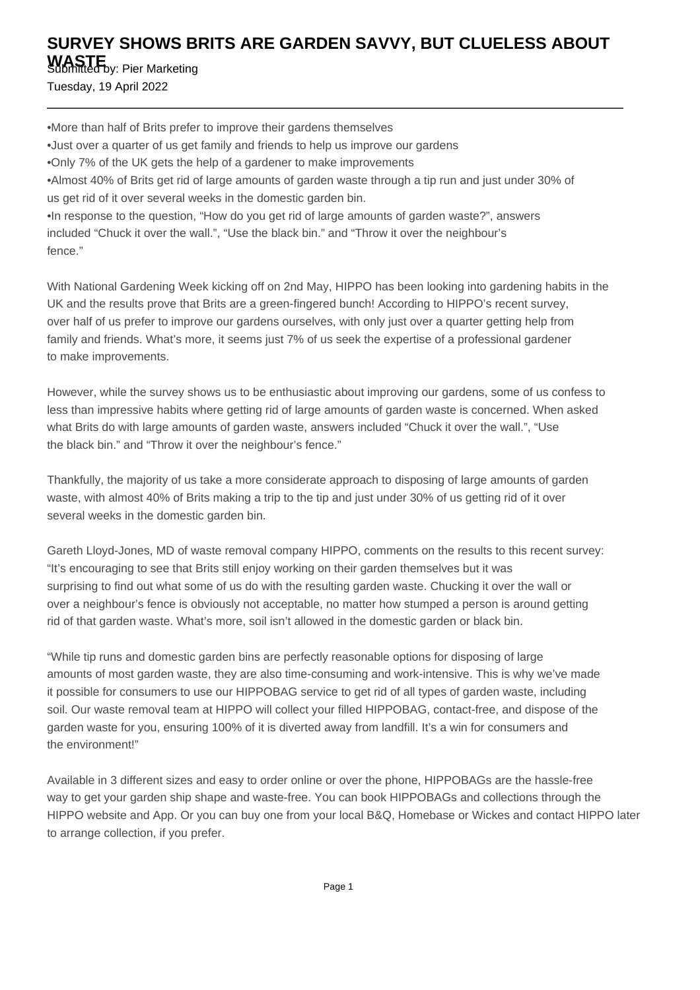## **SURVEY SHOWS BRITS ARE GARDEN SAVVY, BUT CLUELESS ABOUT**

**WASTE** Submitted by: Pier Marketing Tuesday, 19 April 2022

• More than half of Brits prefer to improve their gardens themselves

- Just over a quarter of us get family and friends to help us improve our gardens
- Only 7% of the UK gets the help of a gardener to make improvements

• Almost 40% of Brits get rid of large amounts of garden waste through a tip run and just under 30% of us get rid of it over several weeks in the domestic garden bin.

• In response to the question, "How do you get rid of large amounts of garden waste?", answers included "Chuck it over the wall.", "Use the black bin." and "Throw it over the neighbour's fence."

With National Gardening Week kicking off on 2nd May, HIPPO has been looking into gardening habits in the UK and the results prove that Brits are a green-fingered bunch! According to HIPPO's recent survey, over half of us prefer to improve our gardens ourselves, with only just over a quarter getting help from family and friends. What's more, it seems just 7% of us seek the expertise of a professional gardener to make improvements.

However, while the survey shows us to be enthusiastic about improving our gardens, some of us confess to less than impressive habits where getting rid of large amounts of garden waste is concerned. When asked what Brits do with large amounts of garden waste, answers included "Chuck it over the wall.", "Use the black bin." and "Throw it over the neighbour's fence."

Thankfully, the majority of us take a more considerate approach to disposing of large amounts of garden waste, with almost 40% of Brits making a trip to the tip and just under 30% of us getting rid of it over several weeks in the domestic garden bin.

Gareth Lloyd-Jones, MD of waste removal company HIPPO, comments on the results to this recent survey: "It's encouraging to see that Brits still enjoy working on their garden themselves but it was surprising to find out what some of us do with the resulting garden waste. Chucking it over the wall or over a neighbour's fence is obviously not acceptable, no matter how stumped a person is around getting rid of that garden waste. What's more, soil isn't allowed in the domestic garden or black bin.

"While tip runs and domestic garden bins are perfectly reasonable options for disposing of large amounts of most garden waste, they are also time-consuming and work-intensive. This is why we've made it possible for consumers to use our HIPPOBAG service to get rid of all types of garden waste, including soil. Our waste removal team at HIPPO will collect your filled HIPPOBAG, contact-free, and dispose of the garden waste for you, ensuring 100% of it is diverted away from landfill. It's a win for consumers and the environment!"

Available in 3 different sizes and easy to order online or over the phone, HIPPOBAGs are the hassle-free way to get your garden ship shape and waste-free. You can book HIPPOBAGs and collections through the HIPPO website and App. Or you can buy one from your local B&Q, Homebase or Wickes and contact HIPPO later to arrange collection, if you prefer.